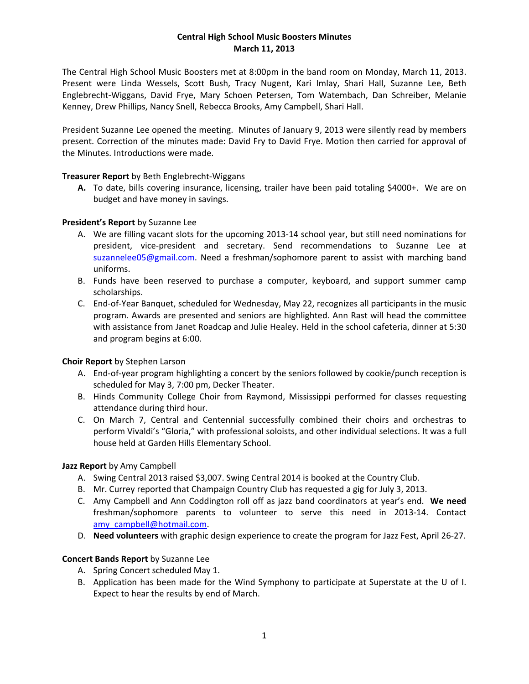## **Central High School Music Boosters Minutes March 11, 2013**

The Central High School Music Boosters met at 8:00pm in the band room on Monday, March 11, 2013. Present were Linda Wessels, Scott Bush, Tracy Nugent, Kari Imlay, Shari Hall, Suzanne Lee, Beth Englebrecht‐Wiggans, David Frye, Mary Schoen Petersen, Tom Watembach, Dan Schreiber, Melanie Kenney, Drew Phillips, Nancy Snell, Rebecca Brooks, Amy Campbell, Shari Hall.

President Suzanne Lee opened the meeting. Minutes of January 9, 2013 were silently read by members present. Correction of the minutes made: David Fry to David Frye. Motion then carried for approval of the Minutes. Introductions were made.

## **Treasurer Report** by Beth Englebrecht‐Wiggans

**A.** To date, bills covering insurance, licensing, trailer have been paid totaling \$4000+. We are on budget and have money in savings.

## **President's Report** by Suzanne Lee

- A. We are filling vacant slots for the upcoming 2013‐14 school year, but still need nominations for president, vice‐president and secretary. Send recommendations to Suzanne Lee at suzannelee05@gmail.com. Need a freshman/sophomore parent to assist with marching band uniforms.
- B. Funds have been reserved to purchase a computer, keyboard, and support summer camp scholarships.
- C. End‐of‐Year Banquet, scheduled for Wednesday, May 22, recognizes all participants in the music program. Awards are presented and seniors are highlighted. Ann Rast will head the committee with assistance from Janet Roadcap and Julie Healey. Held in the school cafeteria, dinner at 5:30 and program begins at 6:00.

#### **Choir Report** by Stephen Larson

- A. End‐of‐year program highlighting a concert by the seniors followed by cookie/punch reception is scheduled for May 3, 7:00 pm, Decker Theater.
- B. Hinds Community College Choir from Raymond, Mississippi performed for classes requesting attendance during third hour.
- C. On March 7, Central and Centennial successfully combined their choirs and orchestras to perform Vivaldi's "Gloria," with professional soloists, and other individual selections. It was a full house held at Garden Hills Elementary School.

# **Jazz Report** by Amy Campbell

- A. Swing Central 2013 raised \$3,007. Swing Central 2014 is booked at the Country Club.
- B. Mr. Currey reported that Champaign Country Club has requested a gig for July 3, 2013.
- C. Amy Campbell and Ann Coddington roll off as jazz band coordinators at year's end. **We need** freshman/sophomore parents to volunteer to serve this need in 2013‐14. Contact amy\_campbell@hotmail.com.
- D. **Need volunteers** with graphic design experience to create the program for Jazz Fest, April 26‐27.

#### **Concert Bands Report** by Suzanne Lee

- A. Spring Concert scheduled May 1.
- B. Application has been made for the Wind Symphony to participate at Superstate at the U of I. Expect to hear the results by end of March.